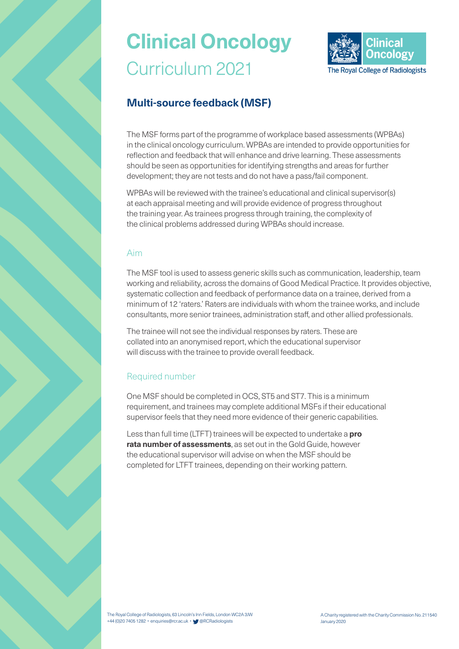

### **Multi-source feedback (MSF)**

The MSF forms part of the programme of workplace based assessments (WPBAs) in the clinical oncology curriculum. WPBAs are intended to provide opportunities for reflection and feedback that will enhance and drive learning. These assessments should be seen as opportunities for identifying strengths and areas for further development; they are not tests and do not have a pass/fail component.

WPBAs will be reviewed with the trainee's educational and clinical supervisor(s) at each appraisal meeting and will provide evidence of progress throughout the training year. As trainees progress through training, the complexity of the clinical problems addressed during WPBAs should increase.

#### Aim

The MSF tool is used to assess generic skills such as communication, leadership, team working and reliability, across the domains of Good Medical Practice. It provides objective, systematic collection and feedback of performance data on a trainee, derived from a minimum of 12 'raters.' Raters are individuals with whom the trainee works, and include consultants, more senior trainees, administration staff, and other allied professionals.

The trainee will not see the individual responses by raters. These are collated into an anonymised report, which the educational supervisor will discuss with the trainee to provide overall feedback.

#### Required number

One MSF should be completed in OCS, ST5 and ST7. This is a minimum requirement, and trainees may complete additional MSFs if their educational supervisor feels that they need more evidence of their generic capabilities.

Less than full time (LTFT) trainees will be expected to undertake a **pro rata number of assessments**, as set out in the Gold Guide, however the educational supervisor will advise on when the MSF should be completed for LTFT trainees, depending on their working pattern.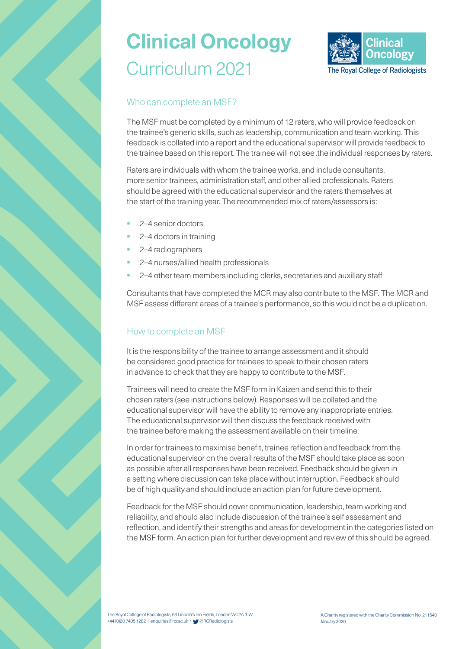

#### Who can complete an MSF?

The MSF must be completed by a minimum of 12 raters, who will provide feedback on the trainee's generic skills, such as leadership, communication and team working. This feedback is collated into a report and the educational supervisor will provide feedback to the trainee based on this report. The trainee will not see .the individual responses by raters.

Raters are individuals with whom the trainee works, and include consultants, more senior trainees, administration staff, and other allied professionals. Raters should be agreed with the educational supervisor and the raters themselves at the start of the training year. The recommended mix of raters/assessors is:

- § 2–4 senior doctors
- § 2–4 doctors in training
- § 2–4 radiographers
- § 2–4 nurses/allied health professionals
- § 2–4 other team members including clerks, secretaries and auxiliary staff

Consultants that have completed the MCR may also contribute to the MSF. The MCR and MSF assess different areas of a trainee's performance, so this would not be a duplication.

#### How to complete an MSF

It is the responsibility of the trainee to arrange assessment and it should be considered good practice for trainees to speak to their chosen raters in advance to check that they are happy to contribute to the MSF.

Trainees will need to create the MSF form in Kaizen and send this to their chosen raters (see instructions below). Responses will be collated and the educational supervisor will have the ability to remove any inappropriate entries. The educational supervisor will then discuss the feedback received with the trainee before making the assessment available on their timeline.

In order for trainees to maximise benefit, trainee reflection and feedback from the educational supervisor on the overall results of the MSF should take place as soon as possible after all responses have been received. Feedback should be given in a setting where discussion can take place without interruption. Feedback should be of high quality and should include an action plan for future development.

Feedback for the MSF should cover communication, leadership, team working and reliability, and should also include discussion of the trainee's self assessment and reflection, and identify their strengths and areas for development in the categories listed on the MSF form. An action plan for further development and review of this should be agreed.

The Royal College of Radiologists, 63 Lincoln's Inn Fields, London WC2A 3JW +44 (0)20 7405 1282 • enquiries@rcr.ac.uk • @RCRadiologists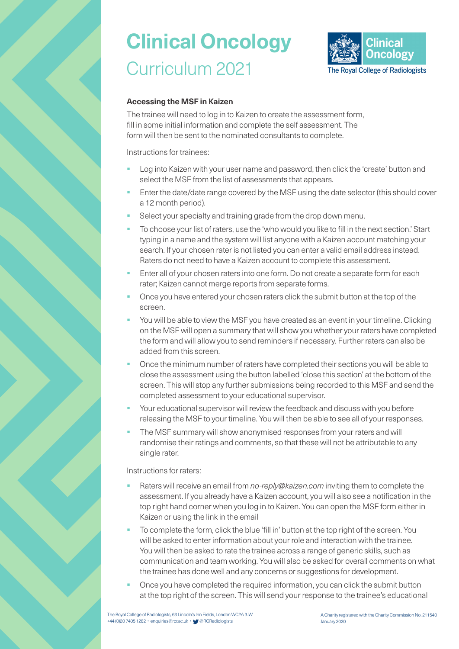

#### **Accessing the MSF in Kaizen**

The trainee will need to log in to Kaizen to create the assessment form, fill in some initial information and complete the self assessment. The form will then be sent to the nominated consultants to complete.

Instructions for trainees:

- Log into Kaizen with your user name and password, then click the 'create' button and select the MSF from the list of assessments that appears.
- Enter the date/date range covered by the MSF using the date selector (this should cover a 12 month period).
- Select your specialty and training grade from the drop down menu.
- § To choose your list of raters, use the 'who would you like to fill in the next section.' Start typing in a name and the system will list anyone with a Kaizen account matching your search. If your chosen rater is not listed you can enter a valid email address instead. Raters do not need to have a Kaizen account to complete this assessment.
- Enter all of your chosen raters into one form. Do not create a separate form for each rater; Kaizen cannot merge reports from separate forms.
- § Once you have entered your chosen raters click the submit button at the top of the screen.
- § You will be able to view the MSF you have created as an event in your timeline. Clicking on the MSF will open a summary that will show you whether your raters have completed the form and will allow you to send reminders if necessary. Further raters can also be added from this screen.
- § Once the minimum number of raters have completed their sections you will be able to close the assessment using the button labelled 'close this section' at the bottom of the screen. This will stop any further submissions being recorded to this MSF and send the completed assessment to your educational supervisor.
- Your educational supervisor will review the feedback and discuss with you before releasing the MSF to your timeline. You will then be able to see all of your responses.
- The MSF summary will show anonymised responses from your raters and will randomise their ratings and comments, so that these will not be attributable to any single rater.

Instructions for raters:

- § Raters will receive an email from *no-reply@kaizen.com* inviting them to complete the assessment. If you already have a Kaizen account, you will also see a notification in the top right hand corner when you log in to Kaizen. You can open the MSF form either in Kaizen or using the link in the email
- To complete the form, click the blue 'fill in' button at the top right of the screen. You will be asked to enter information about your role and interaction with the trainee. You will then be asked to rate the trainee across a range of generic skills, such as communication and team working. You will also be asked for overall comments on what the trainee has done well and any concerns or suggestions for development.
- § Once you have completed the required information, you can click the submit button at the top right of the screen. This will send your response to the trainee's educational